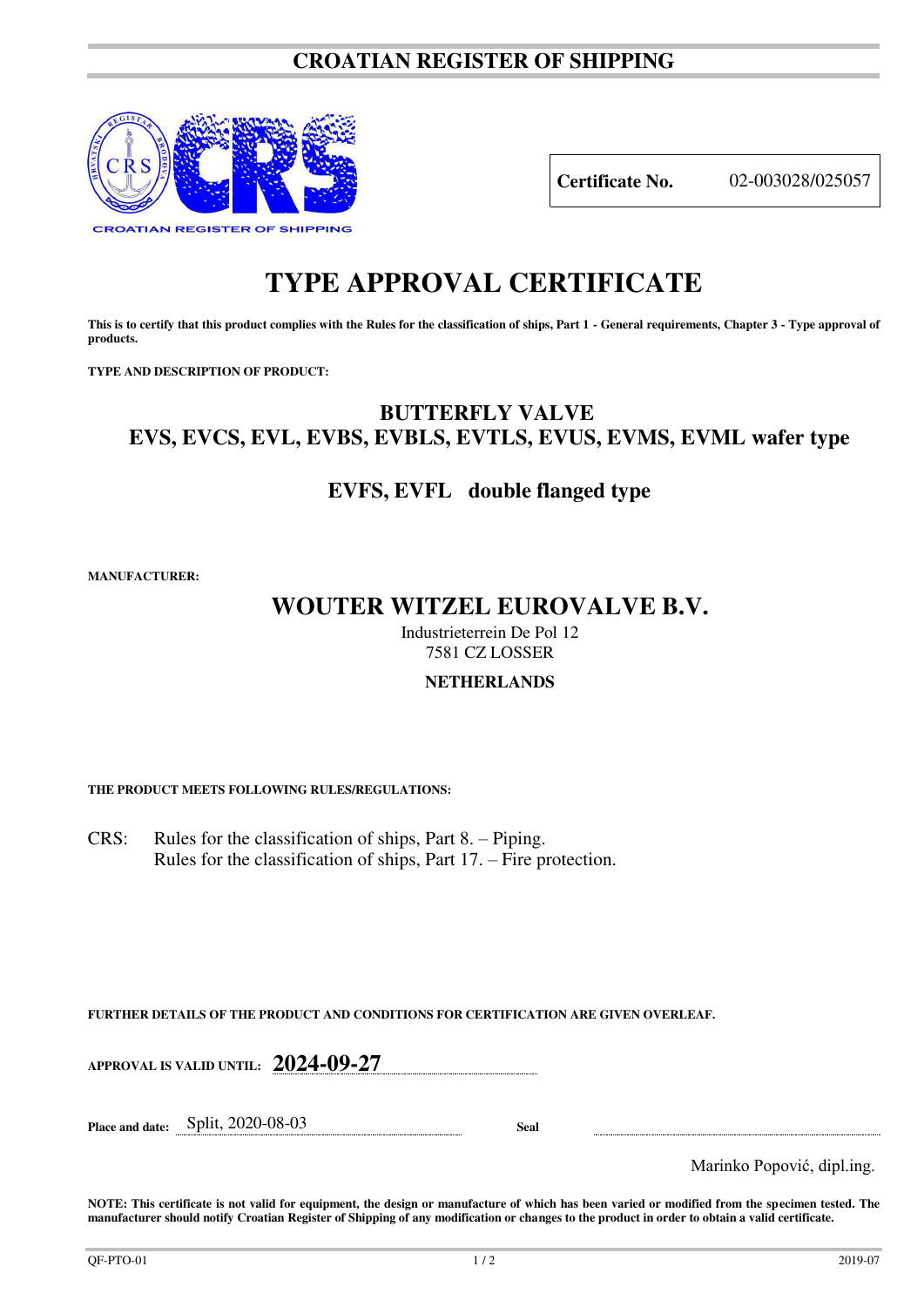### **CROATIAN REGISTER OF SHIPPING**



**Certificate No.** 02-003028/025057

# **TYPE APPROVAL CERTIFICATE**

This is to certify that this product complies with the Rules for the classification of ships, Part 1 - General requirements, Chapter 3 - Type approval of **products.** 

**TYPE AND DESCRIPTION OF PRODUCT:** 

### **BUTTERFLY VALVE EVS, EVCS, EVL, EVBS, EVBLS, EVTLS, EVUS, EVMS, EVML wafer type**

### **EVFS, EVFL double flanged type**

**MANUFACTURER:**

## **WOUTER WITZEL EUROVALVE B.V.**

Industrieterrein De Pol 12 7581 CZ LOSSER

### **NETHERLANDS**

**THE PRODUCT MEETS FOLLOWING RULES/REGULATIONS:**

CRS: Rules for the classification of ships, Part 8. – Piping. Rules for the classification of ships, Part 17. – Fire protection.

**FURTHER DETAILS OF THE PRODUCT AND CONDITIONS FOR CERTIFICATION ARE GIVEN OVERLEAF.**

**APPROVAL IS VALID UNTIL: 2024-09-27**

**Place and date:** Split, 2020-08-03 **Seal** 

Marinko Popović, dipl.ing.

**NOTE: This certificate is not valid for equipment, the design or manufacture of which has been varied or modified from the specimen tested. The manufacturer should notify Croatian Register of Shipping of any modification or changes to the product in order to obtain a valid certificate.**